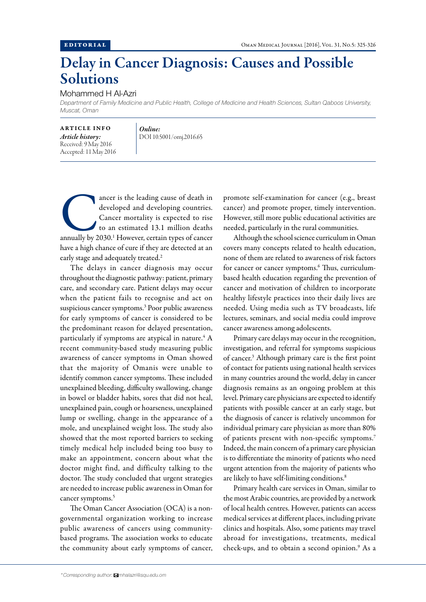## Delay in Cancer Diagnosis: Causes and Possible Solutions

## Mohammed H Al-Azri

*Department of Family Medicine and Public Health, College of Medicine and Health Sciences, Sultan Qaboos University, Muscat, Oman*

ARTICLE INFO *Article history:* Received: 9 May 2016 Accepted: 11 May 2016

*Online:* DOI 10.5001/omj.2016.65

ancer is the leading cause of death in<br>
developed and developing countries.<br>
Cancer mortality is expected to rise<br>
to an estimated 13.1 million deaths<br>
annually by 2030.<sup>1</sup> However, certain types of cancer developed and developing countries. Cancer mortality is expected to rise to an estimated 13.1 million deaths have a high chance of cure if they are detected at an early stage and adequately treated.<sup>2</sup>

The delays in cancer diagnosis may occur throughout the diagnostic pathway: patient, primary care, and secondary care. Patient delays may occur when the patient fails to recognise and act on suspicious cancer symptoms.3 Poor public awareness for early symptoms of cancer is considered to be the predominant reason for delayed presentation, particularly if symptoms are atypical in nature. $4$  A recent community-based study measuring public awareness of cancer symptoms in Oman showed that the majority of Omanis were unable to identify common cancer symptoms. These included unexplained bleeding, difficulty swallowing, change in bowel or bladder habits, sores that did not heal, unexplained pain, cough or hoarseness, unexplained lump or swelling, change in the appearance of a mole, and unexplained weight loss. The study also showed that the most reported barriers to seeking timely medical help included being too busy to make an appointment, concern about what the doctor might find, and difficulty talking to the doctor. The study concluded that urgent strategies are needed to increase public awareness in Oman for cancer symptoms.<sup>5</sup>

The Oman Cancer Association (OCA) is a nongovernmental organization working to increase public awareness of cancers using communitybased programs. The association works to educate the community about early symptoms of cancer,

promote self-examination for cancer (e.g., breast cancer) and promote proper, timely intervention. However, still more public educational activities are needed, particularly in the rural communities.

Although the school science curriculum in Oman covers many concepts related to health education, none of them are related to awareness of risk factors for cancer or cancer symptoms.<sup>6</sup> Thus, curriculumbased health education regarding the prevention of cancer and motivation of children to incorporate healthy lifestyle practices into their daily lives are needed. Using media such as TV broadcasts, life lectures, seminars, and social media could improve cancer awareness among adolescents.

Primary care delays may occur in the recognition, investigation, and referral for symptoms suspicious of cancer.3 Although primary care is the first point of contact for patients using national health services in many countries around the world, delay in cancer diagnosis remains as an ongoing problem at this level. Primary care physicians are expected to identify patients with possible cancer at an early stage, but the diagnosis of cancer is relatively uncommon for individual primary care physician as more than 80% of patients present with non-specific symptoms.<sup>7</sup> Indeed, the main concern of a primary care physician is to differentiate the minority of patients who need urgent attention from the majority of patients who are likely to have self-limiting conditions.<sup>8</sup>

Primary health care services in Oman, similar to the most Arabic countries, are provided by a network of local health centres. However, patients can access medical services at different places, including private clinics and hospitals. Also, some patients may travel abroad for investigations, treatments, medical check-ups, and to obtain a second opinion.<sup>9</sup> As a